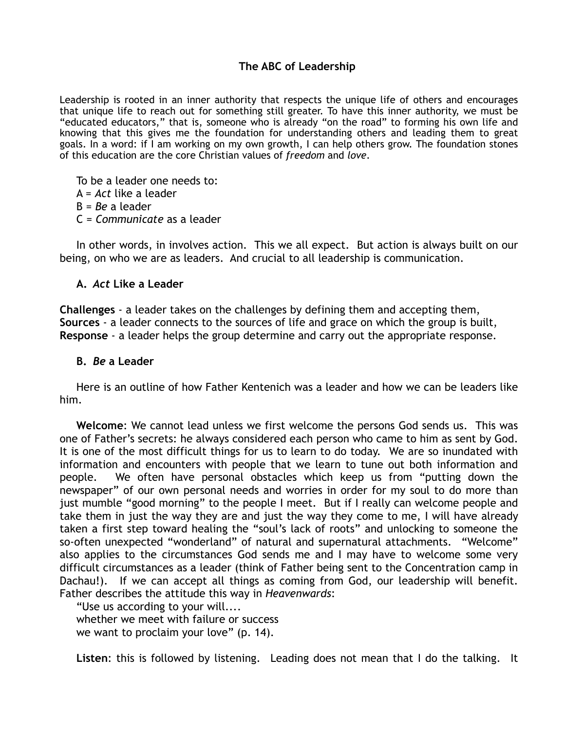## **The ABC of Leadership**

Leadership is rooted in an inner authority that respects the unique life of others and encourages that unique life to reach out for something still greater. To have this inner authority, we must be "educated educators," that is, someone who is already "on the road" to forming his own life and knowing that this gives me the foundation for understanding others and leading them to great goals. In a word: if I am working on my own growth, I can help others grow. The foundation stones of this education are the core Christian values of *freedom* and *love*.

To be a leader one needs to: A = *Act* like a leader B = *Be* a leader C = *Communicate* as a leader

In other words, in involves action. This we all expect. But action is always built on our being, on who we are as leaders. And crucial to all leadership is communication.

## **A.** *Act* **Like a Leader**

**Challenges** - a leader takes on the challenges by defining them and accepting them, **Sources** - a leader connects to the sources of life and grace on which the group is built, **Response** - a leader helps the group determine and carry out the appropriate response.

## **B.** *Be* **a Leader**

Here is an outline of how Father Kentenich was a leader and how we can be leaders like him.

**Welcome**: We cannot lead unless we first welcome the persons God sends us. This was one of Father's secrets: he always considered each person who came to him as sent by God. It is one of the most difficult things for us to learn to do today. We are so inundated with information and encounters with people that we learn to tune out both information and people. We often have personal obstacles which keep us from "putting down the newspaper" of our own personal needs and worries in order for my soul to do more than just mumble "good morning" to the people I meet. But if I really can welcome people and take them in just the way they are and just the way they come to me, I will have already taken a first step toward healing the "soul's lack of roots" and unlocking to someone the so-often unexpected "wonderland" of natural and supernatural attachments. "Welcome" also applies to the circumstances God sends me and I may have to welcome some very difficult circumstances as a leader (think of Father being sent to the Concentration camp in Dachau!). If we can accept all things as coming from God, our leadership will benefit. Father describes the attitude this way in *Heavenwards*:

"Use us according to your will.... whether we meet with failure or success we want to proclaim your love" (p. 14).

**Listen**: this is followed by listening. Leading does not mean that I do the talking. It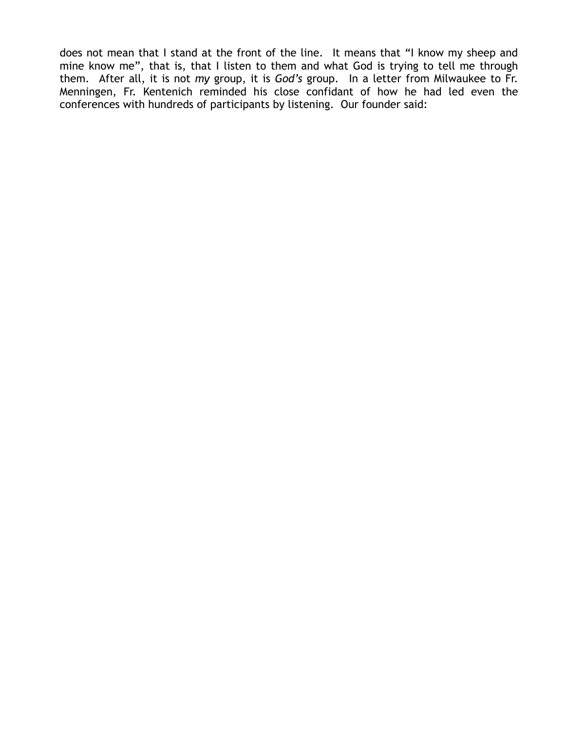does not mean that I stand at the front of the line. It means that "I know my sheep and mine know me", that is, that I listen to them and what God is trying to tell me through them. After all, it is not *my* group, it is *God's* group. In a letter from Milwaukee to Fr. Menningen, Fr. Kentenich reminded his close confidant of how he had led even the conferences with hundreds of participants by listening. Our founder said: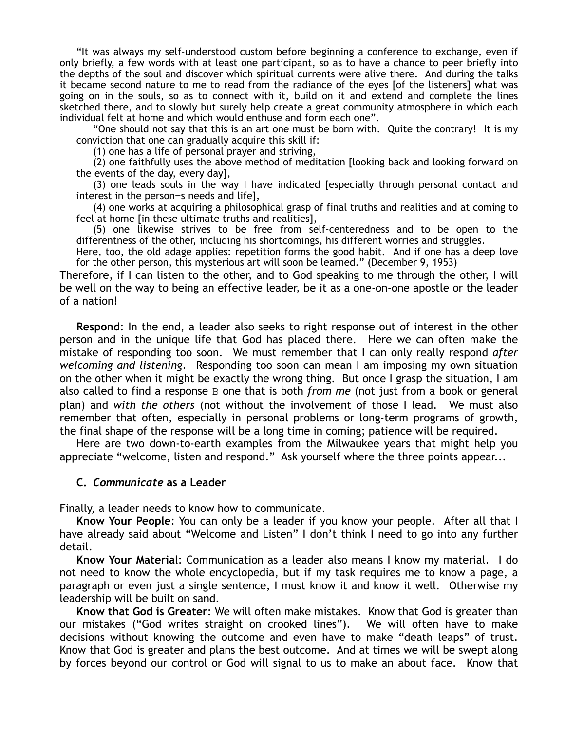"It was always my self-understood custom before beginning a conference to exchange, even if only briefly, a few words with at least one participant, so as to have a chance to peer briefly into the depths of the soul and discover which spiritual currents were alive there. And during the talks it became second nature to me to read from the radiance of the eyes [of the listeners] what was going on in the souls, so as to connect with it, build on it and extend and complete the lines sketched there, and to slowly but surely help create a great community atmosphere in which each individual felt at home and which would enthuse and form each one".

"One should not say that this is an art one must be born with. Quite the contrary! It is my conviction that one can gradually acquire this skill if:

(1) one has a life of personal prayer and striving,

(2) one faithfully uses the above method of meditation [looking back and looking forward on the events of the day, every day],

(3) one leads souls in the way I have indicated [especially through personal contact and interest in the person=s needs and life],

(4) one works at acquiring a philosophical grasp of final truths and realities and at coming to feel at home [in these ultimate truths and realities],

(5) one likewise strives to be free from self-centeredness and to be open to the differentness of the other, including his shortcomings, his different worries and struggles.

Here, too, the old adage applies: repetition forms the good habit. And if one has a deep love for the other person, this mysterious art will soon be learned." (December 9, 1953)

Therefore, if I can listen to the other, and to God speaking to me through the other, I will be well on the way to being an effective leader, be it as a one-on-one apostle or the leader of a nation!

**Respond**: In the end, a leader also seeks to right response out of interest in the other person and in the unique life that God has placed there. Here we can often make the mistake of responding too soon. We must remember that I can only really respond *after welcoming and listening*. Responding too soon can mean I am imposing my own situation on the other when it might be exactly the wrong thing. But once I grasp the situation, I am also called to find a response B one that is both *from me* (not just from a book or general plan) and *with the others* (not without the involvement of those I lead. We must also remember that often, especially in personal problems or long-term programs of growth, the final shape of the response will be a long time in coming; patience will be required.

Here are two down-to-earth examples from the Milwaukee years that might help you appreciate "welcome, listen and respond." Ask yourself where the three points appear...

## **C.** *Communicate* **as a Leader**

Finally, a leader needs to know how to communicate.

**Know Your People**: You can only be a leader if you know your people. After all that I have already said about "Welcome and Listen" I don't think I need to go into any further detail.

**Know Your Material**: Communication as a leader also means I know my material. I do not need to know the whole encyclopedia, but if my task requires me to know a page, a paragraph or even just a single sentence, I must know it and know it well. Otherwise my leadership will be built on sand.

**Know that God is Greater**: We will often make mistakes. Know that God is greater than our mistakes ("God writes straight on crooked lines"). We will often have to make decisions without knowing the outcome and even have to make "death leaps" of trust. Know that God is greater and plans the best outcome. And at times we will be swept along by forces beyond our control or God will signal to us to make an about face. Know that